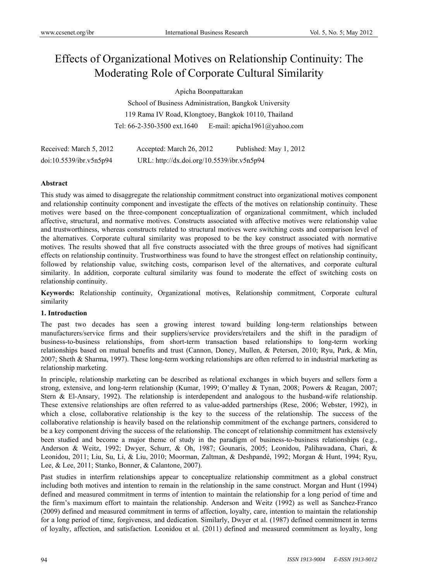# Effects of Organizational Motives on Relationship Continuity: The Moderating Role of Corporate Cultural Similarity

Apicha Boonpattarakan

School of Business Administration, Bangkok University 119 Rama IV Road, Klongtoey, Bangkok 10110, Thailand Tel: 66-2-350-3500 ext.1640 E-mail: apicha1961@yahoo.com

| Received: March 5, 2012 | Accepted: March 26, 2012                   | Published: May 1, 2012 |
|-------------------------|--------------------------------------------|------------------------|
| doi:10.5539/ibr.v5n5p94 | URL: http://dx.doi.org/10.5539/ibr.v5n5p94 |                        |

# **Abstract**

This study was aimed to disaggregate the relationship commitment construct into organizational motives component and relationship continuity component and investigate the effects of the motives on relationship continuity. These motives were based on the three-component conceptualization of organizational commitment, which included affective, structural, and normative motives. Constructs associated with affective motives were relationship value and trustworthiness, whereas constructs related to structural motives were switching costs and comparison level of the alternatives. Corporate cultural similarity was proposed to be the key construct associated with normative motives. The results showed that all five constructs associated with the three groups of motives had significant effects on relationship continuity. Trustworthiness was found to have the strongest effect on relationship continuity, followed by relationship value, switching costs, comparison level of the alternatives, and corporate cultural similarity. In addition, corporate cultural similarity was found to moderate the effect of switching costs on relationship continuity.

**Keywords:** Relationship continuity, Organizational motives, Relationship commitment, Corporate cultural similarity

# **1. Introduction**

The past two decades has seen a growing interest toward building long-term relationships between manufacturers/service firms and their suppliers/service providers/retailers and the shift in the paradigm of business-to-business relationships, from short-term transaction based relationships to long-term working relationships based on mutual benefits and trust (Cannon, Doney, Mullen, & Petersen, 2010; Ryu, Park, & Min, 2007; Sheth & Sharma, 1997). These long-term working relationships are often referred to in industrial marketing as relationship marketing.

In principle, relationship marketing can be described as relational exchanges in which buyers and sellers form a strong, extensive, and long-term relationship (Kumar, 1999; O'malley & Tynan, 2008; Powers & Reagan, 2007; Stern & El-Ansary, 1992). The relationship is interdependent and analogous to the husband-wife relationship. These extensive relationships are often referred to as value-added partnerships (Rese, 2006; Webster, 1992), in which a close, collaborative relationship is the key to the success of the relationship. The success of the collaborative relationship is heavily based on the relationship commitment of the exchange partners, considered to be a key component driving the success of the relationship. The concept of relationship commitment has extensively been studied and become a major theme of study in the paradigm of business-to-business relationships (e.g., Anderson & Weitz, 1992; Dwyer, Schurr, & Oh, 1987; Gounaris, 2005; Leonidou, Palihawadana, Chari, & Leonidou, 2011; Liu, Su, Li, & Liu, 2010; Moorman, Zaltman, & Deshpandé, 1992; Morgan & Hunt, 1994; Ryu, Lee, & Lee, 2011; Stanko, Bonner, & Calantone, 2007).

Past studies in interfirm relationships appear to conceptualize relationship commitment as a global construct including both motives and intention to remain in the relationship in the same construct. Morgan and Hunt (1994) defined and measured commitment in terms of intention to maintain the relationship for a long period of time and the firm's maximum effort to maintain the relationship. Anderson and Weitz (1992) as well as Sanchez-Franco (2009) defined and measured commitment in terms of affection, loyalty, care, intention to maintain the relationship for a long period of time, forgiveness, and dedication. Similarly, Dwyer et al. (1987) defined commitment in terms of loyalty, affection, and satisfaction. Leonidou et al. (2011) defined and measured commitment as loyalty, long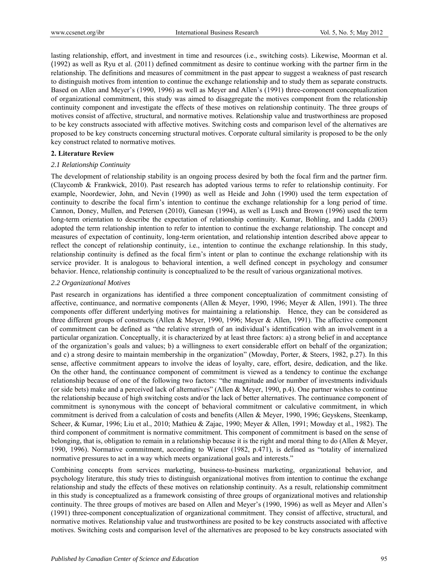lasting relationship, effort, and investment in time and resources (i.e., switching costs). Likewise, Moorman et al. (1992) as well as Ryu et al. (2011) defined commitment as desire to continue working with the partner firm in the relationship. The definitions and measures of commitment in the past appear to suggest a weakness of past research to distinguish motives from intention to continue the exchange relationship and to study them as separate constructs. Based on Allen and Meyer's (1990, 1996) as well as Meyer and Allen's (1991) three-component conceptualization of organizational commitment, this study was aimed to disaggregate the motives component from the relationship continuity component and investigate the effects of these motives on relationship continuity. The three groups of motives consist of affective, structural, and normative motives. Relationship value and trustworthiness are proposed to be key constructs associated with affective motives. Switching costs and comparison level of the alternatives are proposed to be key constructs concerning structural motives. Corporate cultural similarity is proposed to be the only key construct related to normative motives.

## **2. Literature Review**

## *2.1 Relationship Continuity*

The development of relationship stability is an ongoing process desired by both the focal firm and the partner firm. (Claycomb & Frankwick, 2010). Past research has adopted various terms to refer to relationship continuity. For example, Noordewier, John, and Nevin (1990) as well as Heide and John (1990) used the term expectation of continuity to describe the focal firm's intention to continue the exchange relationship for a long period of time. Cannon, Doney, Mullen, and Petersen (2010), Ganesan (1994), as well as Lusch and Brown (1996) used the term long-term orientation to describe the expectation of relationship continuity. Kumar, Bohling, and Ladda (2003) adopted the term relationship intention to refer to intention to continue the exchange relationship. The concept and measures of expectation of continuity, long-term orientation, and relationship intention described above appear to reflect the concept of relationship continuity, i.e., intention to continue the exchange relationship. In this study, relationship continuity is defined as the focal firm's intent or plan to continue the exchange relationship with its service provider. It is analogous to behavioral intention, a well defined concept in psychology and consumer behavior. Hence, relationship continuity is conceptualized to be the result of various organizational motives.

## *2.2 Organizational Motives*

Past research in organizations has identified a three component conceptualization of commitment consisting of affective, continuance, and normative components (Allen & Meyer, 1990, 1996; Meyer & Allen, 1991). The three components offer different underlying motives for maintaining a relationship. Hence, they can be considered as three different groups of constructs (Allen & Meyer, 1990, 1996; Meyer & Allen, 1991). The affective component of commitment can be defined as "the relative strength of an individual's identification with an involvement in a particular organization. Conceptually, it is characterized by at least three factors: a) a strong belief in and acceptance of the organization's goals and values; b) a willingness to exert considerable effort on behalf of the organization; and c) a strong desire to maintain membership in the organization" (Mowday, Porter, & Steers, 1982, p.27). In this sense, affective commitment appears to involve the ideas of loyalty, care, effort, desire, dedication, and the like. On the other hand, the continuance component of commitment is viewed as a tendency to continue the exchange relationship because of one of the following two factors: "the magnitude and/or number of investments individuals (or side bets) make and a perceived lack of alternatives" (Allen & Meyer, 1990, p.4). One partner wishes to continue the relationship because of high switching costs and/or the lack of better alternatives. The continuance component of commitment is synonymous with the concept of behavioral commitment or calculative commitment, in which commitment is derived from a calculation of costs and benefits (Allen & Meyer, 1990, 1996; Geyskens, Steenkamp, Scheer, & Kumar, 1996; Liu et al., 2010; Mathieu & Zajac, 1990; Meyer & Allen, 1991; Mowday et al., 1982). The third component of commitment is normative commitment. This component of commitment is based on the sense of belonging, that is, obligation to remain in a relationship because it is the right and moral thing to do (Allen & Meyer, 1990, 1996). Normative commitment, according to Wiener (1982, p.471), is defined as "totality of internalized normative pressures to act in a way which meets organizational goals and interests."

Combining concepts from services marketing, business-to-business marketing, organizational behavior, and psychology literature, this study tries to distinguish organizational motives from intention to continue the exchange relationship and study the effects of these motives on relationship continuity. As a result, relationship commitment in this study is conceptualized as a framework consisting of three groups of organizational motives and relationship continuity. The three groups of motives are based on Allen and Meyer's (1990, 1996) as well as Meyer and Allen's (1991) three-component conceptualization of organizational commitment. They consist of affective, structural, and normative motives. Relationship value and trustworthiness are posited to be key constructs associated with affective motives. Switching costs and comparison level of the alternatives are proposed to be key constructs associated with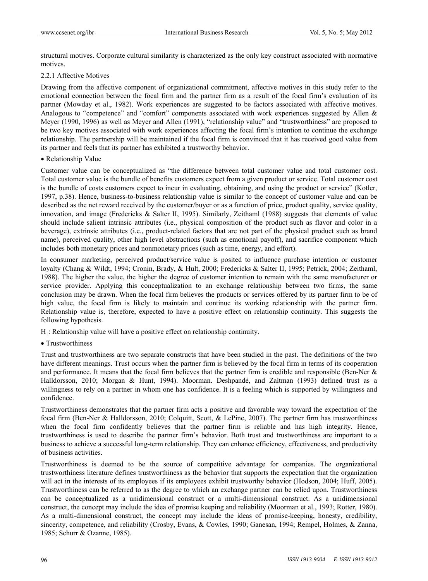structural motives. Corporate cultural similarity is characterized as the only key construct associated with normative motives.

# 2.2.1 Affective Motives

Drawing from the affective component of organizational commitment, affective motives in this study refer to the emotional connection between the focal firm and the partner firm as a result of the focal firm's evaluation of its partner (Mowday et al., 1982). Work experiences are suggested to be factors associated with affective motives. Analogous to "competence" and "comfort" components associated with work experiences suggested by Allen & Meyer (1990, 1996) as well as Meyer and Allen (1991), "relationship value" and "trustworthiness" are proposed to be two key motives associated with work experiences affecting the focal firm's intention to continue the exchange relationship. The partnership will be maintained if the focal firm is convinced that it has received good value from its partner and feels that its partner has exhibited a trustworthy behavior.

## • Relationship Value

Customer value can be conceptualized as "the difference between total customer value and total customer cost. Total customer value is the bundle of benefits customers expect from a given product or service. Total customer cost is the bundle of costs customers expect to incur in evaluating, obtaining, and using the product or service" (Kotler, 1997, p.38). Hence, business-to-business relationship value is similar to the concept of customer value and can be described as the net reward received by the customer/buyer or as a function of price, product quality, service quality, innovation, and image (Fredericks & Salter II, 1995). Similarly, Zeithaml (1988) suggests that elements of value should include salient intrinsic attributes (i.e., physical composition of the product such as flavor and color in a beverage), extrinsic attributes (i.e., product-related factors that are not part of the physical product such as brand name), perceived quality, other high level abstractions (such as emotional payoff), and sacrifice component which includes both monetary prices and nonmonetary prices (such as time, energy, and effort).

In consumer marketing, perceived product/service value is posited to influence purchase intention or customer loyalty (Chang & Wildt, 1994; Cronin, Brady, & Hult, 2000; Fredericks & Salter II, 1995; Petrick, 2004; Zeithaml, 1988). The higher the value, the higher the degree of customer intention to remain with the same manufacturer or service provider. Applying this conceptualization to an exchange relationship between two firms, the same conclusion may be drawn. When the focal firm believes the products or services offered by its partner firm to be of high value, the focal firm is likely to maintain and continue its working relationship with the partner firm. Relationship value is, therefore, expected to have a positive effect on relationship continuity. This suggests the following hypothesis.

 $H<sub>1</sub>$ : Relationship value will have a positive effect on relationship continuity.

# • Trustworthiness

Trust and trustworthiness are two separate constructs that have been studied in the past. The definitions of the two have different meanings. Trust occurs when the partner firm is believed by the focal firm in terms of its cooperation and performance. It means that the focal firm believes that the partner firm is credible and responsible (Ben-Ner & Halldorsson, 2010; Morgan & Hunt, 1994). Moorman. Deshpandé, and Zaltman (1993) defined trust as a willingness to rely on a partner in whom one has confidence. It is a feeling which is supported by willingness and confidence.

Trustworthiness demonstrates that the partner firm acts a positive and favorable way toward the expectation of the focal firm (Ben-Ner & Halldorsson, 2010; Colquitt, Scott, & LePine, 2007). The partner firm has trustworthiness when the focal firm confidently believes that the partner firm is reliable and has high integrity. Hence, trustworthiness is used to describe the partner firm's behavior. Both trust and trustworthiness are important to a business to achieve a successful long-term relationship. They can enhance efficiency, effectiveness, and productivity of business activities.

Trustworthiness is deemed to be the source of competitive advantage for companies. The organizational trustworthiness literature defines trustworthiness as the behavior that supports the expectation that the organization will act in the interests of its employees if its employees exhibit trustworthy behavior (Hodson, 2004; Huff, 2005). Trustworthiness can be referred to as the degree to which an exchange partner can be relied upon. Trustworthiness can be conceptualized as a unidimensional construct or a multi-dimensional construct. As a unidimensional construct, the concept may include the idea of promise keeping and reliability (Moorman et al., 1993; Rotter, 1980). As a multi-dimensional construct, the concept may include the ideas of promise-keeping, honesty, credibility, sincerity, competence, and reliability (Crosby, Evans, & Cowles, 1990; Ganesan, 1994; Rempel, Holmes, & Zanna, 1985; Schurr & Ozanne, 1985).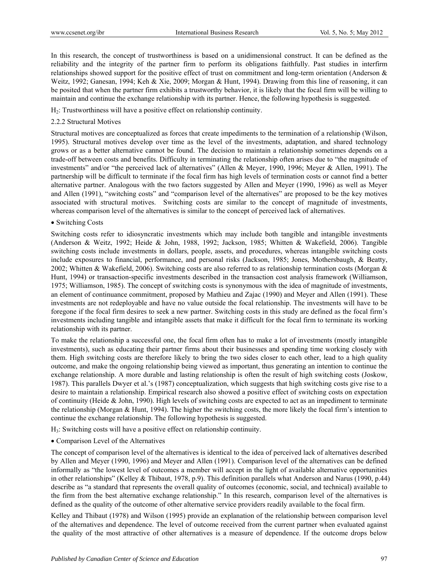In this research, the concept of trustworthiness is based on a unidimensional construct. It can be defined as the reliability and the integrity of the partner firm to perform its obligations faithfully. Past studies in interfirm relationships showed support for the positive effect of trust on commitment and long-term orientation (Anderson & Weitz, 1992; Ganesan, 1994; Keh & Xie, 2009; Morgan & Hunt, 1994). Drawing from this line of reasoning, it can be posited that when the partner firm exhibits a trustworthy behavior, it is likely that the focal firm will be willing to maintain and continue the exchange relationship with its partner. Hence, the following hypothesis is suggested.

H2: Trustworthiness will have a positive effect on relationship continuity.

# 2.2.2 Structural Motives

Structural motives are conceptualized as forces that create impediments to the termination of a relationship (Wilson, 1995). Structural motives develop over time as the level of the investments, adaptation, and shared technology grows or as a better alternative cannot be found. The decision to maintain a relationship sometimes depends on a trade-off between costs and benefits. Difficulty in terminating the relationship often arises due to "the magnitude of investments" and/or "the perceived lack of alternatives" (Allen & Meyer, 1990, 1996; Meyer & Allen, 1991). The partnership will be difficult to terminate if the focal firm has high levels of termination costs or cannot find a better alternative partner. Analogous with the two factors suggested by Allen and Meyer (1990, 1996) as well as Meyer and Allen (1991), "switching costs" and "comparison level of the alternatives" are proposed to be the key motives associated with structural motives. Switching costs are similar to the concept of magnitude of investments, whereas comparison level of the alternatives is similar to the concept of perceived lack of alternatives.

# • Switching Costs

Switching costs refer to idiosyncratic investments which may include both tangible and intangible investments (Anderson & Weitz, 1992; Heide & John, 1988, 1992; Jackson, 1985; Whitten & Wakefield, 2006). Tangible switching costs include investments in dollars, people, assets, and procedures, whereas intangible switching costs include exposures to financial, performance, and personal risks (Jackson, 1985; Jones, Mothersbaugh, & Beatty, 2002; Whitten & Wakefield, 2006). Switching costs are also referred to as relationship termination costs (Morgan & Hunt, 1994) or transaction-specific investments described in the transaction cost analysis framework (Williamson, 1975; Williamson, 1985). The concept of switching costs is synonymous with the idea of magnitude of investments, an element of continuance commitment, proposed by Mathieu and Zajac (1990) and Meyer and Allen (1991). These investments are not redeployable and have no value outside the focal relationship. The investments will have to be foregone if the focal firm desires to seek a new partner. Switching costs in this study are defined as the focal firm's investments including tangible and intangible assets that make it difficult for the focal firm to terminate its working relationship with its partner.

To make the relationship a successful one, the focal firm often has to make a lot of investments (mostly intangible investments), such as educating their partner firms about their businesses and spending time working closely with them. High switching costs are therefore likely to bring the two sides closer to each other, lead to a high quality outcome, and make the ongoing relationship being viewed as important, thus generating an intention to continue the exchange relationship. A more durable and lasting relationship is often the result of high switching costs (Joskow, 1987). This parallels Dwyer et al.'s (1987) conceptualization, which suggests that high switching costs give rise to a desire to maintain a relationship. Empirical research also showed a positive effect of switching costs on expectation of continuity (Heide & John, 1990). High levels of switching costs are expected to act as an impediment to terminate the relationship (Morgan & Hunt, 1994). The higher the switching costs, the more likely the focal firm's intention to continue the exchange relationship. The following hypothesis is suggested.

H3: Switching costs will have a positive effect on relationship continuity.

Comparison Level of the Alternatives

The concept of comparison level of the alternatives is identical to the idea of perceived lack of alternatives described by Allen and Meyer (1990, 1996) and Meyer and Allen (1991). Comparison level of the alternatives can be defined informally as "the lowest level of outcomes a member will accept in the light of available alternative opportunities in other relationships" (Kelley & Thibaut, 1978, p.9). This definition parallels what Anderson and Narus (1990, p.44) describe as "a standard that represents the overall quality of outcomes (economic, social, and technical) available to the firm from the best alternative exchange relationship." In this research, comparison level of the alternatives is defined as the quality of the outcome of other alternative service providers readily available to the focal firm.

Kelley and Thibaut (1978) and Wilson (1995) provide an explanation of the relationship between comparison level of the alternatives and dependence. The level of outcome received from the current partner when evaluated against the quality of the most attractive of other alternatives is a measure of dependence. If the outcome drops below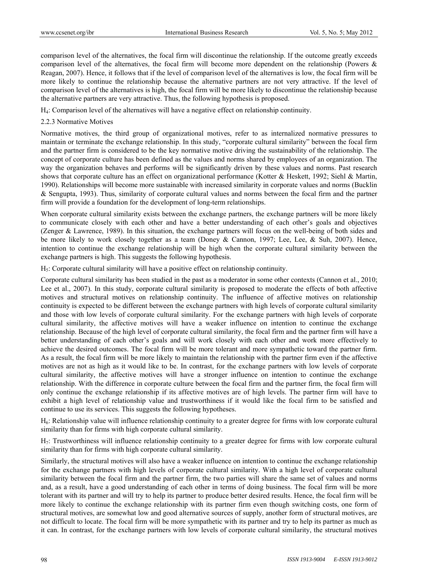comparison level of the alternatives, the focal firm will discontinue the relationship. If the outcome greatly exceeds comparison level of the alternatives, the focal firm will become more dependent on the relationship (Powers & Reagan, 2007). Hence, it follows that if the level of comparison level of the alternatives is low, the focal firm will be more likely to continue the relationship because the alternative partners are not very attractive. If the level of comparison level of the alternatives is high, the focal firm will be more likely to discontinue the relationship because the alternative partners are very attractive. Thus, the following hypothesis is proposed.

H4: Comparison level of the alternatives will have a negative effect on relationship continuity.

# 2.2.3 Normative Motives

Normative motives, the third group of organizational motives, refer to as internalized normative pressures to maintain or terminate the exchange relationship. In this study, "corporate cultural similarity" between the focal firm and the partner firm is considered to be the key normative motive driving the sustainability of the relationship. The concept of corporate culture has been defined as the values and norms shared by employees of an organization. The way the organization behaves and performs will be significantly driven by these values and norms. Past research shows that corporate culture has an effect on organizational performance (Kotter & Heskett, 1992; Siehl & Martin, 1990). Relationships will become more sustainable with increased similarity in corporate values and norms (Bucklin & Sengupta, 1993). Thus, similarity of corporate cultural values and norms between the focal firm and the partner firm will provide a foundation for the development of long-term relationships.

When corporate cultural similarity exists between the exchange partners, the exchange partners will be more likely to communicate closely with each other and have a better understanding of each other's goals and objectives (Zenger & Lawrence, 1989). In this situation, the exchange partners will focus on the well-being of both sides and be more likely to work closely together as a team (Doney & Cannon, 1997; Lee, Lee, & Suh, 2007). Hence, intention to continue the exchange relationship will be high when the corporate cultural similarity between the exchange partners is high. This suggests the following hypothesis.

 $H<sub>5</sub>$ : Corporate cultural similarity will have a positive effect on relationship continuity.

Corporate cultural similarity has been studied in the past as a moderator in some other contexts (Cannon et al., 2010; Lee et al., 2007). In this study, corporate cultural similarity is proposed to moderate the effects of both affective motives and structural motives on relationship continuity. The influence of affective motives on relationship continuity is expected to be different between the exchange partners with high levels of corporate cultural similarity and those with low levels of corporate cultural similarity. For the exchange partners with high levels of corporate cultural similarity, the affective motives will have a weaker influence on intention to continue the exchange relationship. Because of the high level of corporate cultural similarity, the focal firm and the partner firm will have a better understanding of each other's goals and will work closely with each other and work more effectively to achieve the desired outcomes. The focal firm will be more tolerant and more sympathetic toward the partner firm. As a result, the focal firm will be more likely to maintain the relationship with the partner firm even if the affective motives are not as high as it would like to be. In contrast, for the exchange partners with low levels of corporate cultural similarity, the affective motives will have a stronger influence on intention to continue the exchange relationship. With the difference in corporate culture between the focal firm and the partner firm, the focal firm will only continue the exchange relationship if its affective motives are of high levels. The partner firm will have to exhibit a high level of relationship value and trustworthiness if it would like the focal firm to be satisfied and continue to use its services. This suggests the following hypotheses.

H6: Relationship value will influence relationship continuity to a greater degree for firms with low corporate cultural similarity than for firms with high corporate cultural similarity.

H7: Trustworthiness will influence relationship continuity to a greater degree for firms with low corporate cultural similarity than for firms with high corporate cultural similarity.

Similarly, the structural motives will also have a weaker influence on intention to continue the exchange relationship for the exchange partners with high levels of corporate cultural similarity. With a high level of corporate cultural similarity between the focal firm and the partner firm, the two parties will share the same set of values and norms and, as a result, have a good understanding of each other in terms of doing business. The focal firm will be more tolerant with its partner and will try to help its partner to produce better desired results. Hence, the focal firm will be more likely to continue the exchange relationship with its partner firm even though switching costs, one form of structural motives, are somewhat low and good alternative sources of supply, another form of structural motives, are not difficult to locate. The focal firm will be more sympathetic with its partner and try to help its partner as much as it can. In contrast, for the exchange partners with low levels of corporate cultural similarity, the structural motives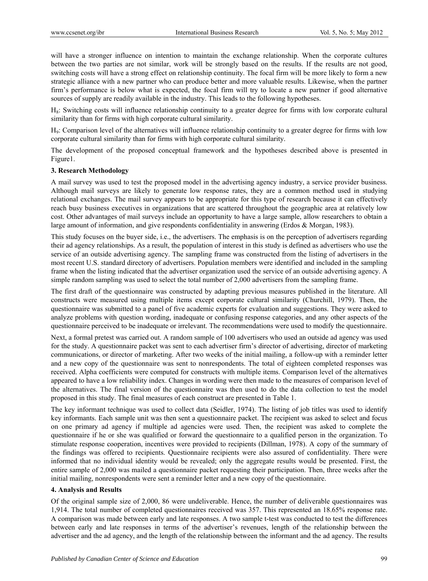will have a stronger influence on intention to maintain the exchange relationship. When the corporate cultures between the two parties are not similar, work will be strongly based on the results. If the results are not good, switching costs will have a strong effect on relationship continuity. The focal firm will be more likely to form a new strategic alliance with a new partner who can produce better and more valuable results. Likewise, when the partner firm's performance is below what is expected, the focal firm will try to locate a new partner if good alternative sources of supply are readily available in the industry. This leads to the following hypotheses.

H8: Switching costs will influence relationship continuity to a greater degree for firms with low corporate cultural similarity than for firms with high corporate cultural similarity.

H9: Comparison level of the alternatives will influence relationship continuity to a greater degree for firms with low corporate cultural similarity than for firms with high corporate cultural similarity.

The development of the proposed conceptual framework and the hypotheses described above is presented in Figure1.

# **3. Research Methodology**

A mail survey was used to test the proposed model in the advertising agency industry, a service provider business. Although mail surveys are likely to generate low response rates, they are a common method used in studying relational exchanges. The mail survey appears to be appropriate for this type of research because it can effectively reach busy business executives in organizations that are scattered throughout the geographic area at relatively low cost. Other advantages of mail surveys include an opportunity to have a large sample, allow researchers to obtain a large amount of information, and give respondents confidentiality in answering (Erdos & Morgan, 1983).

This study focuses on the buyer side, i.e., the advertisers. The emphasis is on the perception of advertisers regarding their ad agency relationships. As a result, the population of interest in this study is defined as advertisers who use the service of an outside advertising agency. The sampling frame was constructed from the listing of advertisers in the most recent U.S. standard directory of advertisers. Population members were identified and included in the sampling frame when the listing indicated that the advertiser organization used the service of an outside advertising agency. A simple random sampling was used to select the total number of 2,000 advertisers from the sampling frame.

The first draft of the questionnaire was constructed by adapting previous measures published in the literature. All constructs were measured using multiple items except corporate cultural similarity (Churchill, 1979). Then, the questionnaire was submitted to a panel of five academic experts for evaluation and suggestions. They were asked to analyze problems with question wording, inadequate or confusing response categories, and any other aspects of the questionnaire perceived to be inadequate or irrelevant. The recommendations were used to modify the questionnaire.

Next, a formal pretest was carried out. A random sample of 100 advertisers who used an outside ad agency was used for the study. A questionnaire packet was sent to each advertiser firm's director of advertising, director of marketing communications, or director of marketing. After two weeks of the initial mailing, a follow-up with a reminder letter and a new copy of the questionnaire was sent to nonrespondents. The total of eighteen completed responses was received. Alpha coefficients were computed for constructs with multiple items. Comparison level of the alternatives appeared to have a low reliability index. Changes in wording were then made to the measures of comparison level of the alternatives. The final version of the questionnaire was then used to do the data collection to test the model proposed in this study. The final measures of each construct are presented in Table 1.

The key informant technique was used to collect data (Seidler, 1974). The listing of job titles was used to identify key informants. Each sample unit was then sent a questionnaire packet. The recipient was asked to select and focus on one primary ad agency if multiple ad agencies were used. Then, the recipient was asked to complete the questionnaire if he or she was qualified or forward the questionnaire to a qualified person in the organization. To stimulate response cooperation, incentives were provided to recipients (Dillman, 1978). A copy of the summary of the findings was offered to recipients. Questionnaire recipients were also assured of confidentiality. There were informed that no individual identity would be revealed; only the aggregate results would be presented. First, the entire sample of 2,000 was mailed a questionnaire packet requesting their participation. Then, three weeks after the initial mailing, nonrespondents were sent a reminder letter and a new copy of the questionnaire.

#### **4. Analysis and Results**

Of the original sample size of 2,000, 86 were undeliverable. Hence, the number of deliverable questionnaires was 1,914. The total number of completed questionnaires received was 357. This represented an 18.65% response rate. A comparison was made between early and late responses. A two sample t-test was conducted to test the differences between early and late responses in terms of the advertiser's revenues, length of the relationship between the advertiser and the ad agency, and the length of the relationship between the informant and the ad agency. The results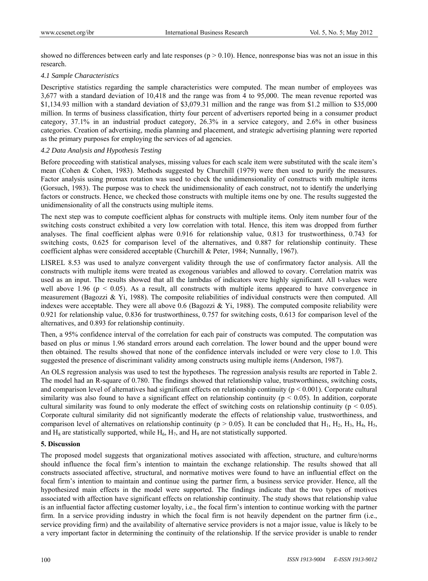showed no differences between early and late responses ( $p > 0.10$ ). Hence, nonresponse bias was not an issue in this research.

# *4.1 Sample Characteristics*

Descriptive statistics regarding the sample characteristics were computed. The mean number of employees was 3,677 with a standard deviation of 10,418 and the range was from 4 to 95,000. The mean revenue reported was \$1,134.93 million with a standard deviation of \$3,079.31 million and the range was from \$1.2 million to \$35,000 million. In terms of business classification, thirty four percent of advertisers reported being in a consumer product category, 37.1% in an industrial product category, 26.3% in a service category, and 2.6% in other business categories. Creation of advertising, media planning and placement, and strategic advertising planning were reported as the primary purposes for employing the services of ad agencies.

# *4.2 Data Analysis and Hypothesis Testing*

Before proceeding with statistical analyses, missing values for each scale item were substituted with the scale item's mean (Cohen & Cohen, 1983). Methods suggested by Churchill (1979) were then used to purify the measures. Factor analysis using promax rotation was used to check the unidimensionality of constructs with multiple items (Gorsuch, 1983). The purpose was to check the unidimensionality of each construct, not to identify the underlying factors or constructs. Hence, we checked those constructs with multiple items one by one. The results suggested the unidimensionality of all the constructs using multiple items.

The next step was to compute coefficient alphas for constructs with multiple items. Only item number four of the switching costs construct exhibited a very low correlation with total. Hence, this item was dropped from further analyses. The final coefficient alphas were 0.916 for relationship value, 0.813 for trustworthiness, 0.743 for switching costs, 0.625 for comparison level of the alternatives, and 0.887 for relationship continuity. These coefficient alphas were considered acceptable (Churchill & Peter, 1984; Nunnally, 1967).

LISREL 8.53 was used to analyze convergent validity through the use of confirmatory factor analysis. All the constructs with multiple items were treated as exogenous variables and allowed to covary. Correlation matrix was used as an input. The results showed that all the lambdas of indicators were highly significant. All t-values were well above 1.96 ( $p \le 0.05$ ). As a result, all constructs with multiple items appeared to have convergence in measurement (Bagozzi & Yi, 1988). The composite reliabilities of individual constructs were then computed. All indexes were acceptable. They were all above 0.6 (Bagozzi & Yi, 1988). The computed composite reliability were 0.921 for relationship value, 0.836 for trustworthiness, 0.757 for switching costs, 0.613 for comparison level of the alternatives, and 0.893 for relationship continuity.

Then, a 95% confidence interval of the correlation for each pair of constructs was computed. The computation was based on plus or minus 1.96 standard errors around each correlation. The lower bound and the upper bound were then obtained. The results showed that none of the confidence intervals included or were very close to 1.0. This suggested the presence of discriminant validity among constructs using multiple items (Anderson, 1987).

An OLS regression analysis was used to test the hypotheses. The regression analysis results are reported in Table 2. The model had an R-square of 0.780. The findings showed that relationship value, trustworthiness, switching costs, and comparison level of alternatives had significant effects on relationship continuity ( $p < 0.001$ ). Corporate cultural similarity was also found to have a significant effect on relationship continuity ( $p < 0.05$ ). In addition, corporate cultural similarity was found to only moderate the effect of switching costs on relationship continuity ( $p < 0.05$ ). Corporate cultural similarity did not significantly moderate the effects of relationship value, trustworthiness, and comparison level of alternatives on relationship continuity ( $p > 0.05$ ). It can be concluded that H<sub>1</sub>, H<sub>2</sub>, H<sub>3</sub>, H<sub>4</sub>, H<sub>5</sub>, and  $H_8$  are statistically supported, while  $H_6$ ,  $H_7$ , and  $H_9$  are not statistically supported.

# **5. Discussion**

The proposed model suggests that organizational motives associated with affection, structure, and culture/norms should influence the focal firm's intention to maintain the exchange relationship. The results showed that all constructs associated affective, structural, and normative motives were found to have an influential effect on the focal firm's intention to maintain and continue using the partner firm, a business service provider. Hence, all the hypothesized main effects in the model were supported. The findings indicate that the two types of motives associated with affection have significant effects on relationship continuity. The study shows that relationship value is an influential factor affecting customer loyalty, i.e., the focal firm's intention to continue working with the partner firm. In a service providing industry in which the focal firm is not heavily dependent on the partner firm (i.e., service providing firm) and the availability of alternative service providers is not a major issue, value is likely to be a very important factor in determining the continuity of the relationship. If the service provider is unable to render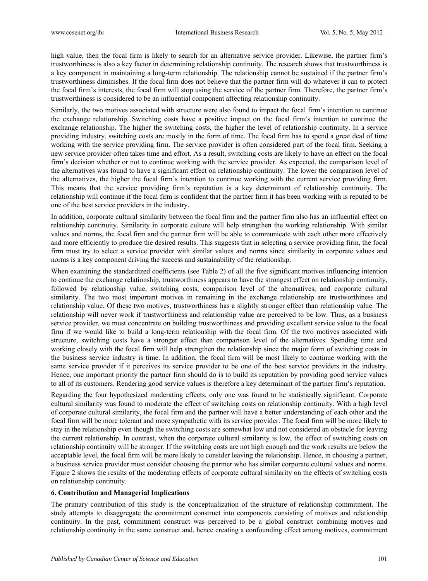high value, then the focal firm is likely to search for an alternative service provider. Likewise, the partner firm's trustworthiness is also a key factor in determining relationship continuity. The research shows that trustworthiness is a key component in maintaining a long-term relationship. The relationship cannot be sustained if the partner firm's trustworthiness diminishes. If the focal firm does not believe that the partner firm will do whatever it can to protect the focal firm's interests, the focal firm will stop using the service of the partner firm. Therefore, the partner firm's trustworthiness is considered to be an influential component affecting relationship continuity.

Similarly, the two motives associated with structure were also found to impact the focal firm's intention to continue the exchange relationship. Switching costs have a positive impact on the focal firm's intention to continue the exchange relationship. The higher the switching costs, the higher the level of relationship continuity. In a service providing industry, switching costs are mostly in the form of time. The focal firm has to spend a great deal of time working with the service providing firm. The service provider is often considered part of the focal firm. Seeking a new service provider often takes time and effort. As a result, switching costs are likely to have an effect on the focal firm's decision whether or not to continue working with the service provider. As expected, the comparison level of the alternatives was found to have a significant effect on relationship continuity. The lower the comparison level of the alternatives, the higher the focal firm's intention to continue working with the current service providing firm. This means that the service providing firm's reputation is a key determinant of relationship continuity. The relationship will continue if the focal firm is confident that the partner firm it has been working with is reputed to be one of the best service providers in the industry.

In addition, corporate cultural similarity between the focal firm and the partner firm also has an influential effect on relationship continuity. Similarity in corporate culture will help strengthen the working relationship. With similar values and norms, the focal firm and the partner firm will be able to communicate with each other more effectively and more efficiently to produce the desired results. This suggests that in selecting a service providing firm, the focal firm must try to select a service provider with similar values and norms since similarity in corporate values and norms is a key component driving the success and sustainability of the relationship.

When examining the standardized coefficients (see Table 2) of all the five significant motives influencing intention to continue the exchange relationship, trustworthiness appears to have the strongest effect on relationship continuity, followed by relationship value, switching costs, comparison level of the alternatives, and corporate cultural similarity. The two most important motives in remaining in the exchange relationship are trustworthiness and relationship value. Of these two motives, trustworthiness has a slightly stronger effect than relationship value. The relationship will never work if trustworthiness and relationship value are perceived to be low. Thus, as a business service provider, we must concentrate on building trustworthiness and providing excellent service value to the focal firm if we would like to build a long-term relationship with the focal firm. Of the two motives associated with structure, switching costs have a stronger effect than comparison level of the alternatives. Spending time and working closely with the focal firm will help strengthen the relationship since the major form of switching costs in the business service industry is time. In addition, the focal firm will be most likely to continue working with the same service provider if it perceives its service provider to be one of the best service providers in the industry. Hence, one important priority the partner firm should do is to build its reputation by providing good service values to all of its customers. Rendering good service values is therefore a key determinant of the partner firm's reputation.

Regarding the four hypothesized moderating effects, only one was found to be statistically significant. Corporate cultural similarity was found to moderate the effect of switching costs on relationship continuity. With a high level of corporate cultural similarity, the focal firm and the partner will have a better understanding of each other and the focal firm will be more tolerant and more sympathetic with its service provider. The focal firm will be more likely to stay in the relationship even though the switching costs are somewhat low and not considered an obstacle for leaving the current relationship. In contrast, when the corporate cultural similarity is low, the effect of switching costs on relationship continuity will be stronger. If the switching costs are not high enough and the work results are below the acceptable level, the focal firm will be more likely to consider leaving the relationship. Hence, in choosing a partner, a business service provider must consider choosing the partner who has similar corporate cultural values and norms. Figure 2 shows the results of the moderating effects of corporate cultural similarity on the effects of switching costs on relationship continuity.

# **6. Contribution and Managerial Implications**

The primary contribution of this study is the conceptualization of the structure of relationship commitment. The study attempts to disaggregate the commitment construct into components consisting of motives and relationship continuity. In the past, commitment construct was perceived to be a global construct combining motives and relationship continuity in the same construct and, hence creating a confounding effect among motives, commitment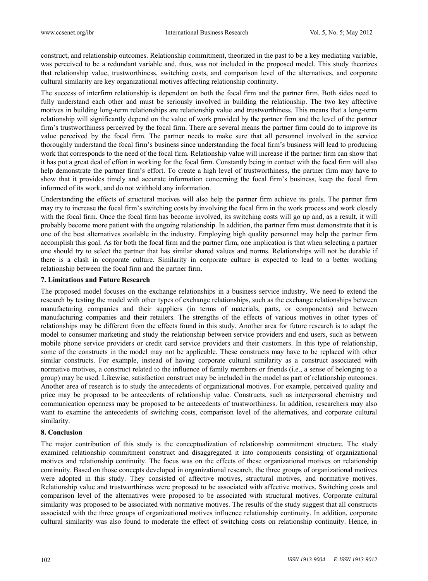construct, and relationship outcomes. Relationship commitment, theorized in the past to be a key mediating variable, was perceived to be a redundant variable and, thus, was not included in the proposed model. This study theorizes that relationship value, trustworthiness, switching costs, and comparison level of the alternatives, and corporate cultural similarity are key organizational motives affecting relationship continuity.

The success of interfirm relationship is dependent on both the focal firm and the partner firm. Both sides need to fully understand each other and must be seriously involved in building the relationship. The two key affective motives in building long-term relationships are relationship value and trustworthiness. This means that a long-term relationship will significantly depend on the value of work provided by the partner firm and the level of the partner firm's trustworthiness perceived by the focal firm. There are several means the partner firm could do to improve its value perceived by the focal firm. The partner needs to make sure that all personnel involved in the service thoroughly understand the focal firm's business since understanding the focal firm's business will lead to producing work that corresponds to the need of the focal firm. Relationship value will increase if the partner firm can show that it has put a great deal of effort in working for the focal firm. Constantly being in contact with the focal firm will also help demonstrate the partner firm's effort. To create a high level of trustworthiness, the partner firm may have to show that it provides timely and accurate information concerning the focal firm's business, keep the focal firm informed of its work, and do not withhold any information.

Understanding the effects of structural motives will also help the partner firm achieve its goals. The partner firm may try to increase the focal firm's switching costs by involving the focal firm in the work process and work closely with the focal firm. Once the focal firm has become involved, its switching costs will go up and, as a result, it will probably become more patient with the ongoing relationship. In addition, the partner firm must demonstrate that it is one of the best alternatives available in the industry. Employing high quality personnel may help the partner firm accomplish this goal. As for both the focal firm and the partner firm, one implication is that when selecting a partner one should try to select the partner that has similar shared values and norms. Relationships will not be durable if there is a clash in corporate culture. Similarity in corporate culture is expected to lead to a better working relationship between the focal firm and the partner firm.

## **7. Limitations and Future Research**

The proposed model focuses on the exchange relationships in a business service industry. We need to extend the research by testing the model with other types of exchange relationships, such as the exchange relationships between manufacturing companies and their suppliers (in terms of materials, parts, or components) and between manufacturing companies and their retailers. The strengths of the effects of various motives in other types of relationships may be different from the effects found in this study. Another area for future research is to adapt the model to consumer marketing and study the relationship between service providers and end users, such as between mobile phone service providers or credit card service providers and their customers. In this type of relationship, some of the constructs in the model may not be applicable. These constructs may have to be replaced with other similar constructs. For example, instead of having corporate cultural similarity as a construct associated with normative motives, a construct related to the influence of family members or friends (i.e., a sense of belonging to a group) may be used. Likewise, satisfaction construct may be included in the model as part of relationship outcomes. Another area of research is to study the antecedents of organizational motives. For example, perceived quality and price may be proposed to be antecedents of relationship value. Constructs, such as interpersonal chemistry and communication openness may be proposed to be antecedents of trustworthiness. In addition, researchers may also want to examine the antecedents of switching costs, comparison level of the alternatives, and corporate cultural similarity.

## **8. Conclusion**

The major contribution of this study is the conceptualization of relationship commitment structure. The study examined relationship commitment construct and disaggregated it into components consisting of organizational motives and relationship continuity. The focus was on the effects of these organizational motives on relationship continuity. Based on those concepts developed in organizational research, the three groups of organizational motives were adopted in this study. They consisted of affective motives, structural motives, and normative motives. Relationship value and trustworthiness were proposed to be associated with affective motives. Switching costs and comparison level of the alternatives were proposed to be associated with structural motives. Corporate cultural similarity was proposed to be associated with normative motives. The results of the study suggest that all constructs associated with the three groups of organizational motives influence relationship continuity. In addition, corporate cultural similarity was also found to moderate the effect of switching costs on relationship continuity. Hence, in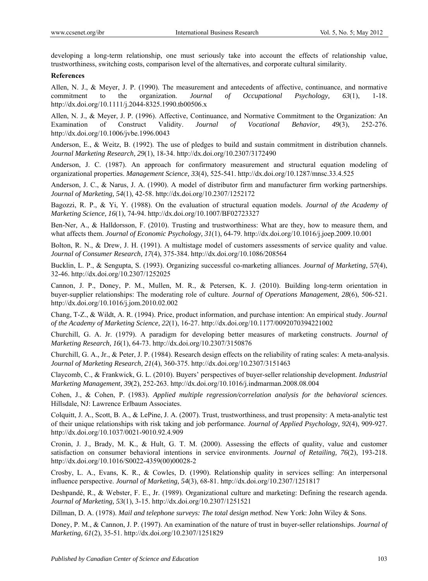developing a long-term relationship, one must seriously take into account the effects of relationship value, trustworthiness, switching costs, comparison level of the alternatives, and corporate cultural similarity.

## **References**

Allen, N. J., & Meyer, J. P. (1990). The measurement and antecedents of affective, continuance, and normative commitment to the organization. *Journal of Occupational Psychology, 63*(1), 1-18. http://dx.doi.org/10.1111/j.2044-8325.1990.tb00506.x

Allen, N. J., & Meyer, J. P. (1996). Affective, Continuance, and Normative Commitment to the Organization: An Examination of Construct Validity. *Journal of Vocational Behavior, 49*(3), 252-276. http://dx.doi.org/10.1006/jvbe.1996.0043

Anderson, E., & Weitz, B. (1992). The use of pledges to build and sustain commitment in distribution channels. *Journal Marketing Research, 29*(1), 18-34. http://dx.doi.org/10.2307/3172490

Anderson, J. C. (1987). An approach for confirmatory measurement and structural equation modeling of organizational properties. *Management Science, 33*(4), 525-541. http://dx.doi.org/10.1287/mnsc.33.4.525

Anderson, J. C., & Narus, J. A. (1990). A model of distributor firm and manufacturer firm working partnerships. *Journal of Marketing, 54*(1), 42-58. http://dx.doi.org/10.2307/1252172

Bagozzi, R. P., & Yi, Y. (1988). On the evaluation of structural equation models. *Journal of the Academy of Marketing Science, 16*(1), 74-94. http://dx.doi.org/10.1007/BF02723327

Ben-Ner, A., & Halldorsson, F. (2010). Trusting and trustworthiness: What are they, how to measure them, and what affects them. *Journal of Economic Psychology, 31*(1), 64-79. http://dx.doi.org/10.1016/j.joep.2009.10.001

Bolton, R. N., & Drew, J. H. (1991). A multistage model of customers assessments of service quality and value. *Journal of Consumer Research, 17*(4), 375-384. http://dx.doi.org/10.1086/208564

Bucklin, L. P., & Sengupta, S. (1993). Organizing successful co-marketing alliances. *Journal of Marketing, 57*(4), 32-46. http://dx.doi.org/10.2307/1252025

Cannon, J. P., Doney, P. M., Mullen, M. R., & Petersen, K. J. (2010). Building long-term orientation in buyer-supplier relationships: The moderating role of culture. *Journal of Operations Management, 28*(6), 506-521. http://dx.doi.org/10.1016/j.jom.2010.02.002

Chang, T-Z., & Wildt, A. R. (1994). Price, product information, and purchase intention: An empirical study. *Journal of the Academy of Marketing Science, 22*(1), 16-27. http://dx.doi.org/10.1177/0092070394221002

Churchill, G. A. Jr. (1979). A paradigm for developing better measures of marketing constructs. *Journal of Marketing Research, 16*(1), 64-73. http://dx.doi.org/10.2307/3150876

Churchill, G. A., Jr., & Peter, J. P. (1984). Research design effects on the reliability of rating scales: A meta-analysis. *Journal of Marketing Research*, *21*(4), 360-375. http://dx.doi.org/10.2307/3151463

Claycomb, C., & Frankwick, G. L. (2010). Buyers' perspectives of buyer-seller relationship development. *Industrial Marketing Management, 39*(2), 252-263. http://dx.doi.org/10.1016/j.indmarman.2008.08.004

Cohen, J., & Cohen, P. (1983). *Applied multiple regression/correlation analysis for the behavioral sciences*. Hillsdale, NJ: Lawrence Erlbaum Associates.

Colquitt, J. A., Scott, B. A., & LePine, J. A. (2007). Trust, trustworthiness, and trust propensity: A meta-analytic test of their unique relationships with risk taking and job performance. *Journal of Applied Psychology, 92*(4), 909-927. http://dx.doi.org/10.1037/0021-9010.92.4.909

Cronin, J. J., Brady, M. K., & Hult, G. T. M. (2000). Assessing the effects of quality, value and customer satisfaction on consumer behavioral intentions in service environments. *Journal of Retailing, 76*(2), 193-218. http://dx.doi.org/10.1016/S0022-4359(00)00028-2

Crosby, L. A., Evans, K. R., & Cowles, D. (1990). Relationship quality in services selling: An interpersonal influence perspective. *Journal of Marketing, 54*(3), 68-81. http://dx.doi.org/10.2307/1251817

Deshpandé, R., & Webster, F. E., Jr. (1989). Organizational culture and marketing: Defining the research agenda. *Journal of Marketing, 53*(1), 3-15. http://dx.doi.org/10.2307/1251521

Dillman, D. A. (1978). *Mail and telephone surveys: The total design method*. New York: John Wiley & Sons.

Doney, P. M., & Cannon, J. P. (1997). An examination of the nature of trust in buyer-seller relationships. *Journal of Marketing, 61*(2), 35-51. http://dx.doi.org/10.2307/1251829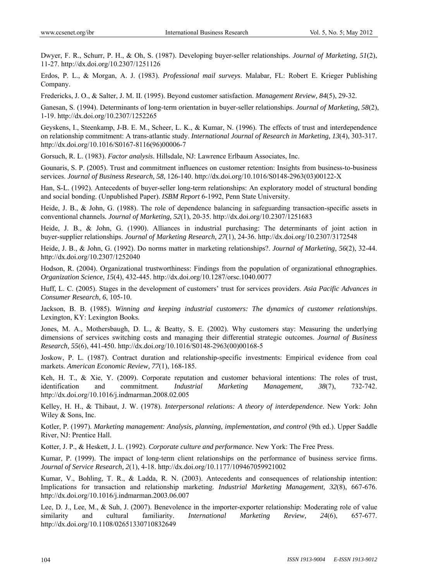Dwyer, F. R., Schurr, P. H., & Oh, S. (1987). Developing buyer-seller relationships. *Journal of Marketing, 51*(2), 11-27. http://dx.doi.org/10.2307/1251126

Erdos, P. L., & Morgan, A. J. (1983). *Professional mail surveys*. Malabar, FL: Robert E. Krieger Publishing Company.

Fredericks, J. O., & Salter, J. M. II. (1995). Beyond customer satisfaction. *Management Review, 84*(5), 29-32.

Ganesan, S. (1994). Determinants of long-term orientation in buyer-seller relationships. *Journal of Marketing, 58*(2), 1-19. http://dx.doi.org/10.2307/1252265

Geyskens, I., Steenkamp, J-B. E. M., Scheer, L. K., & Kumar, N. (1996). The effects of trust and interdependence on relationship commitment: A trans-atlantic study. *International Journal of Research in Marketing, 13*(4), 303-317. http://dx.doi.org/10.1016/S0167-8116(96)00006-7

Gorsuch, R. L. (1983). *Factor analysis*. Hillsdale, NJ: Lawrence Erlbaum Associates, Inc.

Gounaris, S. P. (2005). Trust and commitment influences on customer retention: Insights from business-to-business services. *Journal of Business Research, 58*, 126-140. http://dx.doi.org/10.1016/S0148-2963(03)00122-X

Han, S-L. (1992). Antecedents of buyer-seller long-term relationships: An exploratory model of structural bonding and social bonding. (Unpublished Paper). *ISBM Report* 6-1992, Penn State University.

Heide, J. B., & John, G. (1988). The role of dependence balancing in safeguarding transaction-specific assets in conventional channels*. Journal of Marketing, 52*(1), 20-35. http://dx.doi.org/10.2307/1251683

Heide, J. B., & John, G. (1990). Alliances in industrial purchasing: The determinants of joint action in buyer-supplier relationships. *Journal of Marketing Research, 27*(1), 24-36. http://dx.doi.org/10.2307/3172548

Heide, J. B., & John, G. (1992). Do norms matter in marketing relationships?. *Journal of Marketing, 56*(2), 32-44. http://dx.doi.org/10.2307/1252040

Hodson, R. (2004). Organizational trustworthiness: Findings from the population of organizational ethnographies. *Organization Science, 15*(4), 432-445. http://dx.doi.org/10.1287/orsc.1040.0077

Huff, L. C. (2005). Stages in the development of customers' trust for services providers. *Asia Pacific Advances in Consumer Research, 6*, 105-10.

Jackson, B. B. (1985). *Winning and keeping industrial customers: The dynamics of customer relationships*. Lexington, KY: Lexington Books.

Jones, M. A., Mothersbaugh, D. L., & Beatty, S. E. (2002). Why customers stay: Measuring the underlying dimensions of services switching costs and managing their differential strategic outcomes. *Journal of Business Research, 55*(6), 441-450. http://dx.doi.org/10.1016/S0148-2963(00)00168-5

Joskow, P. L. (1987). Contract duration and relationship-specific investments: Empirical evidence from coal markets. *American Economic Review, 77*(1), 168-185.

Keh, H. T., & Xie, Y. (2009). Corporate reputation and customer behavioral intentions: The roles of trust, identification and commitment. *Industrial Marketing Management, 38*(7), 732-742. http://dx.doi.org/10.1016/j.indmarman.2008.02.005

Kelley, H. H., & Thibaut, J. W. (1978). *Interpersonal relations: A theory of interdependence*. New York: John Wiley & Sons, Inc.

Kotler, P. (1997). *Marketing management: Analysis, planning, implementation, and control* (9th ed.). Upper Saddle River, NJ: Prentice Hall.

Kotter, J. P., & Heskett, J. L. (1992). *Corporate culture and performance*. New York: The Free Press.

Kumar, P. (1999). The impact of long-term client relationships on the performance of business service firms. *Journal of Service Research, 2*(1), 4-18. http://dx.doi.org/10.1177/109467059921002

Kumar, V., Bohling, T. R., & Ladda, R. N. (2003). Antecedents and consequences of relationship intention: Implications for transaction and relationship marketing. *Industrial Marketing Management, 32*(8), 667-676. http://dx.doi.org/10.1016/j.indmarman.2003.06.007

Lee, D. J., Lee, M., & Suh, J. (2007). Benevolence in the importer-exporter relationship: Moderating role of value similarity and cultural familiarity. *International Marketing Review, 24*(6), 657-677. http://dx.doi.org/10.1108/02651330710832649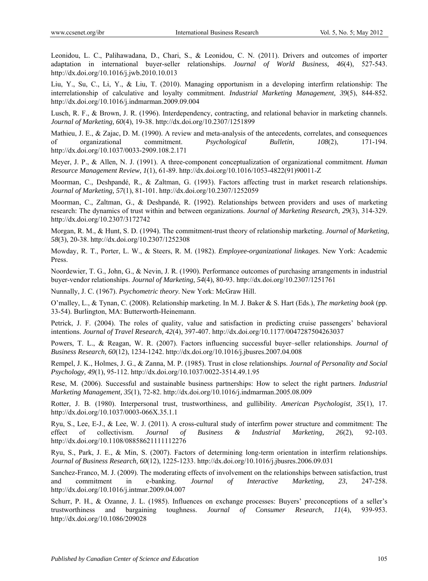Leonidou, L. C., Palihawadana, D., Chari, S., & Leonidou, C. N. (2011). Drivers and outcomes of importer adaptation in international buyer-seller relationships. *Journal of World Business, 46*(4), 527-543. http://dx.doi.org/10.1016/j.jwb.2010.10.013

Liu, Y., Su, C., Li, Y., & Liu, T. (2010). Managing opportunism in a developing interfirm relationship: The interrelationship of calculative and loyalty commitment. *Industrial Marketing Management, 39*(5), 844-852. http://dx.doi.org/10.1016/j.indmarman.2009.09.004

Lusch, R. F., & Brown, J. R. (1996). Interdependency, contracting, and relational behavior in marketing channels. *Journal of Marketing, 60*(4), 19-38. http://dx.doi.org/10.2307/1251899

Mathieu, J. E., & Zajac, D. M. (1990). A review and meta-analysis of the antecedents, correlates, and consequences of organizational commitment. *Psychological Bulletin, 108*(2), 171-194. http://dx.doi.org/10.1037/0033-2909.108.2.171

Meyer, J. P., & Allen, N. J. (1991). A three-component conceptualization of organizational commitment. *Human Resource Management Review, 1*(1), 61-89. http://dx.doi.org/10.1016/1053-4822(91)90011-Z

Moorman, C., Deshpandé, R., & Zaltman, G. (1993). Factors affecting trust in market research relationships. *Journal of Marketing, 57*(1), 81-101. http://dx.doi.org/10.2307/1252059

Moorman, C., Zaltman, G., & Deshpandé, R. (1992). Relationships between providers and uses of marketing research: The dynamics of trust within and between organizations. *Journal of Marketing Research, 29*(3), 314-329. http://dx.doi.org/10.2307/3172742

Morgan, R. M., & Hunt, S. D. (1994). The commitment-trust theory of relationship marketing. *Journal of Marketing, 58*(3), 20-38. http://dx.doi.org/10.2307/1252308

Mowday, R. T., Porter, L. W., & Steers, R. M. (1982). *Employee-organizational linkages*. New York: Academic Press.

Noordewier, T. G., John, G., & Nevin, J. R. (1990). Performance outcomes of purchasing arrangements in industrial buyer-vendor relationships. *Journal of Marketing, 54*(4), 80-93. http://dx.doi.org/10.2307/1251761

Nunnally, J. C. (1967). *Psychometric theory*. New York: McGraw Hill.

O'malley, L., & Tynan, C. (2008). Relationship marketing. In M. J. Baker & S. Hart (Eds.), *The marketing book* (pp. 33-54). Burlington, MA: Butterworth-Heinemann.

Petrick, J. F. (2004). The roles of quality, value and satisfaction in predicting cruise passengers' behavioral intentions. *Journal of Travel Research, 42*(4), 397-407. http://dx.doi.org/10.1177/0047287504263037

Powers, T. L., & Reagan, W. R. (2007). Factors influencing successful buyer–seller relationships. *Journal of Business Research, 60*(12), 1234-1242. http://dx.doi.org/10.1016/j.jbusres.2007.04.008

Rempel, J. K., Holmes, J. G., & Zanna, M. P. (1985). Trust in close relationships. *Journal of Personality and Social Psychology, 49*(1), 95-112. http://dx.doi.org/10.1037/0022-3514.49.1.95

Rese, M. (2006). Successful and sustainable business partnerships: How to select the right partners. *Industrial Marketing Management, 35*(1), 72-82. http://dx.doi.org/10.1016/j.indmarman.2005.08.009

Rotter, J. B. (1980). Interpersonal trust, trustworthiness, and gullibility. *American Psychologist, 35*(1), 17. http://dx.doi.org/10.1037/0003-066X.35.1.1

Ryu, S., Lee, E-J., & Lee, W. J. (2011). A cross-cultural study of interfirm power structure and commitment: The effect of collectivism. *Journal of Business & Industrial Marketing, 26*(2), 92-103. http://dx.doi.org/10.1108/08858621111112276

Ryu, S., Park, J. E., & Min, S. (2007). Factors of determining long-term orientation in interfirm relationships. *Journal of Business Research, 60*(12), 1225-1233. http://dx.doi.org/10.1016/j.jbusres.2006.09.031

Sanchez-Franco, M. J. (2009). The moderating effects of involvement on the relationships between satisfaction, trust and commitment in e-banking. *Journal of Interactive Marketing, 23*, 247-258. http://dx.doi.org/10.1016/j.intmar.2009.04.007

Schurr, P. H., & Ozanne, J. L. (1985). Influences on exchange processes: Buyers' preconceptions of a seller's trustworthiness and bargaining toughness. *Journal of Consumer Research, 11*(4), 939-953. http://dx.doi.org/10.1086/209028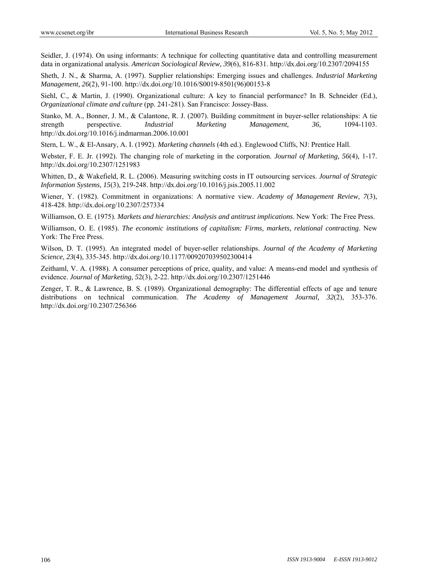Seidler, J. (1974). On using informants: A technique for collecting quantitative data and controlling measurement data in organizational analysis. *American Sociological Review, 39*(6), 816-831. http://dx.doi.org/10.2307/2094155

Sheth, J. N., & Sharma, A. (1997). Supplier relationships: Emerging issues and challenges. *Industrial Marketing Management, 26*(2), 91-100. http://dx.doi.org/10.1016/S0019-8501(96)00153-8

Siehl, C., & Martin, J. (1990). Organizational culture: A key to financial performance? In B. Schneider (Ed.), *Organizational climate and culture* (pp. 241-281). San Francisco: Jossey-Bass.

Stanko, M. A., Bonner, J. M., & Calantone, R. J. (2007). Building commitment in buyer-seller relationships: A tie strength perspective. *Industrial Marketing Management, 36,* 1094-1103. http://dx.doi.org/10.1016/j.indmarman.2006.10.001

Stern, L. W., & El-Ansary, A. I. (1992). *Marketing channels* (4th ed.). Englewood Cliffs, NJ: Prentice Hall.

Webster, F. E. Jr. (1992). The changing role of marketing in the corporation. *Journal of Marketing, 56*(4), 1-17. http://dx.doi.org/10.2307/1251983

Whitten, D., & Wakefield, R. L. (2006). Measuring switching costs in IT outsourcing services. *Journal of Strategic Information Systems, 15*(3), 219-248. http://dx.doi.org/10.1016/j.jsis.2005.11.002

Wiener, Y. (1982). Commitment in organizations: A normative view. *Academy of Management Review, 7*(3), 418-428. http://dx.doi.org/10.2307/257334

Williamson, O. E. (1975). *Markets and hierarchies: Analysis and antitrust implications*. New York: The Free Press.

Williamson, O. E. (1985). *The economic institutions of capitalism: Firms, markets, relational contracting*. New York: The Free Press.

Wilson, D. T. (1995). An integrated model of buyer-seller relationships. *Journal of the Academy of Marketing Science, 23*(4), 335-345. http://dx.doi.org/10.1177/009207039502300414

Zeithaml, V. A. (1988). A consumer perceptions of price, quality, and value: A means-end model and synthesis of evidence. *Journal of Marketing, 5*2(3), 2-22. http://dx.doi.org/10.2307/1251446

Zenger, T. R., & Lawrence, B. S. (1989). Organizational demography: The differential effects of age and tenure distributions on technical communication. *The Academy of Management Journal, 32*(2), 353-376. http://dx.doi.org/10.2307/256366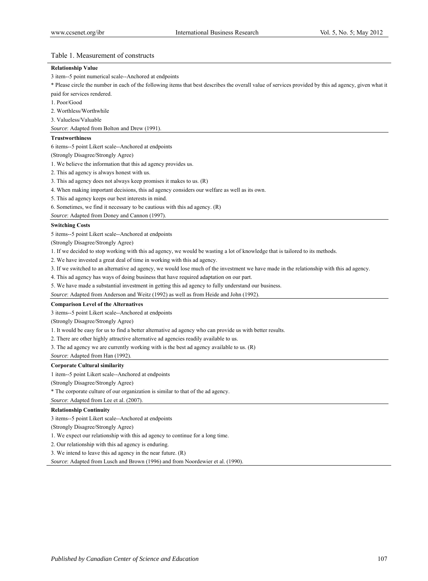## Table 1. Measurement of constructs

#### **Relationship Value**

3 item--5 point numerical scale--Anchored at endpoints

\* Please circle the number in each of the following items that best describes the overall value of services provided by this ad agency, given what it paid for services rendered.

- 1. Poor/Good
- 2. Worthless/Worthwhile

3. Valueless/Valuable

*Source*: Adapted from Bolton and Drew (1991).

#### **Trustworthiness**

6 items--5 point Likert scale--Anchored at endpoints

(Strongly Disagree/Strongly Agree)

1. We believe the information that this ad agency provides us.

2. This ad agency is always honest with us.

3. This ad agency does not always keep promises it makes to us. (R)

4. When making important decisions, this ad agency considers our welfare as well as its own.

5. This ad agency keeps our best interests in mind.

6. Sometimes, we find it necessary to be cautious with this ad agency. (R)

*Source*: Adapted from Doney and Cannon (1997).

#### **Switching Costs**

5 items--5 point Likert scale--Anchored at endpoints

(Strongly Disagree/Strongly Agree)

1. If we decided to stop working with this ad agency, we would be wasting a lot of knowledge that is tailored to its methods.

2. We have invested a great deal of time in working with this ad agency.

3. If we switched to an alternative ad agency, we would lose much of the investment we have made in the relationship with this ad agency.

4. This ad agency has ways of doing business that have required adaptation on our part.

5. We have made a substantial investment in getting this ad agency to fully understand our business.

*Source*: Adapted from Anderson and Weitz (1992) as well as from Heide and John (1992).

#### **Comparison Level of the Alternatives**

3 items--5 point Likert scale--Anchored at endpoints

(Strongly Disagree/Strongly Agree)

1. It would be easy for us to find a better alternative ad agency who can provide us with better results.

2. There are other highly attractive alternative ad agencies readily available to us.

3. The ad agency we are currently working with is the best ad agency available to us. (R)

*Source*: Adapted from Han (1992).

#### **Corporate Cultural similarity**

1 item--5 point Likert scale--Anchored at endpoints

(Strongly Disagree/Strongly Agree)

\* The corporate culture of our organization is similar to that of the ad agency.

*Source*: Adapted from Lee et al. (2007).

#### **Relationship Continuity**

3 items--5 point Likert scale--Anchored at endpoints

(Strongly Disagree/Strongly Agree)

1. We expect our relationship with this ad agency to continue for a long time.

2. Our relationship with this ad agency is enduring.

3. We intend to leave this ad agency in the near future. (R)

*Source*: Adapted from Lusch and Brown (1996) and from Noordewier et al. (1990).